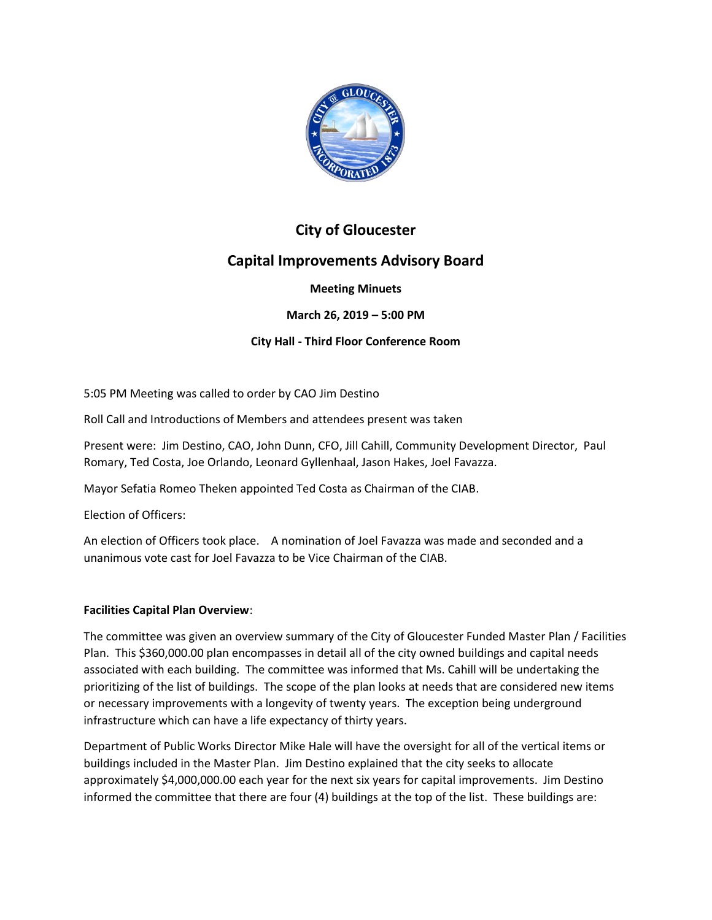

# **City of Gloucester**

# **Capital Improvements Advisory Board**

## **Meeting Minuets**

**March 26, 2019 – 5:00 PM**

## **City Hall - Third Floor Conference Room**

5:05 PM Meeting was called to order by CAO Jim Destino

Roll Call and Introductions of Members and attendees present was taken

Present were: Jim Destino, CAO, John Dunn, CFO, Jill Cahill, Community Development Director, Paul Romary, Ted Costa, Joe Orlando, Leonard Gyllenhaal, Jason Hakes, Joel Favazza.

Mayor Sefatia Romeo Theken appointed Ted Costa as Chairman of the CIAB.

Election of Officers:

An election of Officers took place. A nomination of Joel Favazza was made and seconded and a unanimous vote cast for Joel Favazza to be Vice Chairman of the CIAB.

## **Facilities Capital Plan Overview**:

The committee was given an overview summary of the City of Gloucester Funded Master Plan / Facilities Plan. This \$360,000.00 plan encompasses in detail all of the city owned buildings and capital needs associated with each building. The committee was informed that Ms. Cahill will be undertaking the prioritizing of the list of buildings. The scope of the plan looks at needs that are considered new items or necessary improvements with a longevity of twenty years. The exception being underground infrastructure which can have a life expectancy of thirty years.

Department of Public Works Director Mike Hale will have the oversight for all of the vertical items or buildings included in the Master Plan. Jim Destino explained that the city seeks to allocate approximately \$4,000,000.00 each year for the next six years for capital improvements. Jim Destino informed the committee that there are four (4) buildings at the top of the list. These buildings are: